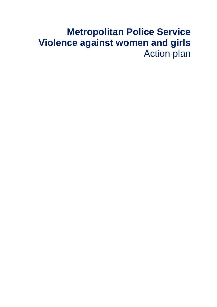# **Metropolitan Police Service Violence against women and girls** Action plan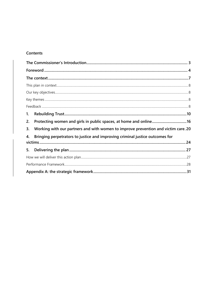#### Contents

| 1.                                                                                       |  |
|------------------------------------------------------------------------------------------|--|
| 2.                                                                                       |  |
| Working with our partners and with women to improve prevention and victim care. 20<br>3. |  |
| Bringing perpetrators to justice and improving criminal justice outcomes for<br>4.       |  |
|                                                                                          |  |
| 5.                                                                                       |  |
|                                                                                          |  |
|                                                                                          |  |
|                                                                                          |  |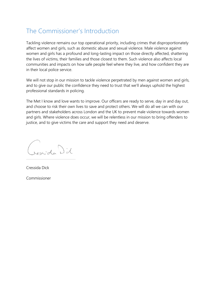### <span id="page-2-0"></span>The Commissioner's Introduction

Tackling violence remains our top operational priority, including crimes that disproportionately affect women and girls, such as domestic abuse and sexual violence. Male violence against women and girls has a profound and long-lasting impact on those directly affected, shattering the lives of victims, their families and those closest to them. Such violence also affects local communities and impacts on how safe people feel where they live, and how confident they are in their local police service.

We will not stop in our mission to tackle violence perpetrated by men against women and girls, and to give our public the confidence they need to trust that we'll always uphold the highest professional standards in policing.

The Met I know and love wants to improve. Our officers are ready to serve, day in and day out, and choose to risk their own lives to save and protect others. We will do all we can with our partners and stakeholders across London and the UK to prevent male violence towards women and girls. Where violence does occur, we will be relentless in our mission to bring offenders to justice, and to give victims the care and support they need and deserve.

Crosside Did

Cressida Dick Commissioner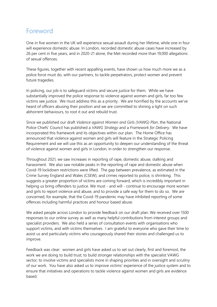### <span id="page-3-0"></span>Foreword

One in five women in the UK will experience sexual assault during her lifetime, while one in four will experience domestic abuse. In London, recorded domestic abuse cases have increased by 26 per cent in five years, and in 2020-21 alone, the Met recorded more than 19,000 allegations of sexual offences.

These figures, together with recent appalling events, have shown us how much more we as a police force must do, with our partners, to tackle perpetrators, protect women and prevent future tragedies.

In policing, our job is to safeguard victims and secure justice for them. While we have substantially improved the police response to violence against women and girls, far too few victims see justice. We must address this as a priority. We are horrified by the accounts we've heard of officers abusing their position and we are committed to shining a light on such abhorrent behaviours, to root it out and rebuild trust.

Since we published our draft *Violence against Women and Girls (VAWG) Plan*, the National Police Chiefs' Council has published a *VAWG Strategy* and a *Framework for Delivery*. We have incorporated this framework and its objectives within our plan. The Home Office has announced that violence against women and girls will feature in the Strategic Policing Requirement and we will use this as an opportunity to deepen our understanding of the threat of violence against women and girls in London, in order to strengthen our response.

Throughout 2021, we saw increases in reporting of rape, domestic abuse, stalking and harassment. We also saw notable peaks in the reporting of rape and domestic abuse when Covid-19 lockdown restrictions were lifted. The gap between prevalence, as estimated in the Crime Survey England and Wales (CSEW), and crimes reported to police, is shrinking. This suggests a greater proportion of victims are coming forward, which is incredibly important in helping us bring offenders to justice. We must - and will - continue to encourage more women and girls to report violence and abuse, and to provide a safe way for them to do so. We are concerned, for example, that the Covid-19 pandemic may have inhibited reporting of some offences including harmful practices and honour based abuse.

We asked people across London to provide feedback on our draft plan. We received over 1500 responses to our online survey as well as many helpful contributions from interest groups and specialist providers. We also held a series of consultation events with organisations who support victims, and with victims themselves. I am grateful to everyone who gave their time to assist us and particularly victims who courageously shared their stories and challenged us to improve.

Feedback was clear: women and girls have asked us to set out clearly, first and foremost, the work we are doing to build trust; to build stronger relationships with the specialist VAWG sector; to involve victims and specialists more in shaping priorities and in oversight and scrutiny of our work. You have also asked us to improve victims' experience of the justice system and to ensure that initiatives and operations to tackle violence against women and girls are evidence based.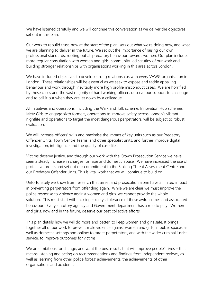We have listened carefully and we will continue this conversation as we deliver the objectives set out in this plan.

Our work to rebuild trust, now at the start of the plan, sets out what we're doing now, and what we are planning to deliver in the future. We set out the importance of raising our own professional standards, rooting out all predatory behaviour towards women. Our plan includes more regular consultation with women and girls, community-led scrutiny of our work and building stronger relationships with organisations working in this area across London.

We have included objectives to develop strong relationships with every VAWG organisation in London. These relationships will be essential as we seek to expose and tackle appalling behaviour and work through inevitably more high profile misconduct cases. We are horrified by these cases and the vast majority of hard working officers deserve our support to challenge and to call it out when they are let down by a colleague.

All initiatives and operations, including the Walk and Talk scheme, Innovation Hub schemes, Metz Girls to engage sixth formers, operations to improve safety across London's vibrant nightlife and operations to target the most dangerous perpetrators, will be subject to robust evaluation.

We will increase officers' skills and maximise the impact of key units such as our Predatory Offender Units, Town Centre Teams, and other specialist units, and further improve digital investigation, intelligence and the quality of case files.

Victims deserve justice, and through our work with the Crown Prosecution Service we have seen a steady increase in charges for rape and domestic abuse. We have increased the use of protective orders and set out our commitment to the Stalking Threat Assessment Centre and our Predatory Offender Units. This is vital work that we will continue to build on.

Unfortunately we know from research that arrest and prosecution alone have a limited impact in preventing perpetrators from offending again. While we are clear we must improve the police response to violence against women and girls, we cannot provide the whole solution. This must start with tackling society's tolerance of these awful crimes and associated behaviour. Every statutory agency and Government department has a role to play. Women and girls, now and in the future, deserve our best collective efforts.

This plan details how we will do more and better, to keep women and girls safe. It brings together all of our work to prevent male violence against women and girls, in public spaces as well as domestic settings and online; to target perpetrators, and with the wider criminal justice service, to improve outcomes for victims.

We are ambitious for change, and want the best results that will improve people's lives – that means listening and acting on recommendations and findings from independent reviews, as well as learning from other police forces' achievements, the achievements of other organisations and academia.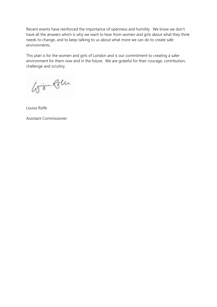Recent events have reinforced the importance of openness and humility. We know we don't have all the answers which is why we want to hear from women and girls about what they think needs to change, and to keep talking to us about what more we can do to create safe environments.

This plan is for the women and girls of London and is our commitment to creating a safer environment for them now and in the future. We are grateful for their courage, contribution, challenge and scrutiny.

Grøn Ben

Louisa Rolfe

Assistant Commissioner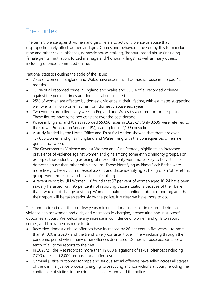### <span id="page-6-0"></span>The context

The term 'violence against women and girls' refers to acts of violence or abuse that disproportionately affect women and girls. Crimes and behaviour covered by this term include rape and other sexual offences, domestic abuse, stalking, 'honour' based abuse (including female genital mutilation, forced marriage and 'honour' killings), as well as many others, including offences committed online.

National statistics outline the scale of the issue:

- 7.3% of women in England and Wales have experienced domestic abuse in the past 12 months.
- 15.2% of all recorded crime in England and Wales and 35.5% of all recorded violence against the person crimes are domestic abuse-related.
- 25% of women are affected by domestic violence in their lifetime, with estimates suggesting well over a million women suffer from domestic abuse each year.
- Two women are killed every week in England and Wales by a current or former partner. These figures have remained constant over the past decade.
- Police in England and Wales recorded 55,696 rapes in 2020-21. Only 3,539 were referred to the Crown Prosecution Service (CPS), leading to just 1,109 convictions.
- A study funded by the Home Office and Trust for London showed that there are over 137,000 women and girls in England and Wales living with the consequences of female genital mutilation.
- The Government's Violence against Women and Girls Strategy highlights an increased prevalence of violence against women and girls among some ethnic minority groups. For example, those identifying as being of mixed ethnicity were more likely to be victims of domestic abuse than other ethnic groups. Those identifying as Black/Black British were more likely to be a victim of sexual assault and those identifying as being of an 'other ethnic group' were more likely to be victims of stalking.
- A recent report by UN Women UK found that 97 per cent of women aged 18-24 have been sexually harassed, with 96 per cent not reporting those situations because of their belief that it would not change anything. Women should feel confident about reporting, and that their report will be taken seriously by the police. It is clear we have more to do.

The London trend over the past few years mirrors national increases in recorded crimes of violence against women and girls, and decreases in charging, prosecuting and in successful outcomes at court. We welcome any increase in confidence of women and girls to report crimes, and know there is more to do.

- Recorded domestic abuse offences have increased by 26 per cent in five years to more than 94,000 in 2020 - and the trend is very consistent over time – including through the pandemic period when many other offences decreased. Domestic abuse accounts for a tenth of all crime reports to the Met.
- In 2020/21, the Met recorded more than 19,000 allegations of sexual offences (including 7,700 rapes and 8,000 serious sexual offences).
- Criminal justice outcomes for rape and serious sexual offences have fallen across all stages of the criminal justice process (charging, prosecuting and convictions at court), eroding the confidence of victims in the criminal justice system and the police.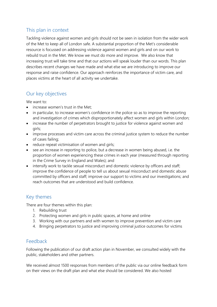### <span id="page-7-0"></span>This plan in context

Tackling violence against women and girls should not be seen in isolation from the wider work of the Met to keep all of London safe. A substantial proportion of the Met's considerable resource is focussed on addressing violence against women and girls and on our work to rebuild trust in the Met. We know we must do more and improve. We also know that increasing trust will take time and that our actions will speak louder than our words. This plan describes recent changes we have made and what else we are introducing to improve our response and raise confidence. Our approach reinforces the importance of victim care, and places victims at the heart of all activity we undertake.

### <span id="page-7-1"></span>Our key objectives

We want to:

- increase women's trust in the Met:
- in particular, to increase women's confidence in the police so as to improve the reporting and investigation of crimes which disproportionately affect women and girls within London;
- increase the number of perpetrators brought to justice for violence against women and girls;
- improve processes and victim care across the criminal justice system to reduce the number of cases failing;
- reduce repeat victimisation of women and girls;
- see an increase in reporting to police, but a decrease in women being abused, i.e. the proportion of women experiencing these crimes in each year (measured through reporting in the Crime Survey in England and Wales); and
- intensify work to tackle sexual misconduct and domestic violence by officers and staff; improve the confidence of people to tell us about sexual misconduct and domestic abuse committed by officers and staff; improve our support to victims and our investigations; and reach outcomes that are understood and build confidence.

### <span id="page-7-2"></span>Key themes

There are four themes within this plan:

- 1. Rebuilding trust
- 2. Protecting women and girls in public spaces, at home and online
- 3. Working with our partners and with women to improve prevention and victim care
- <span id="page-7-3"></span>4. Bringing perpetrators to justice and improving criminal justice outcomes for victims

### Feedback

Following the publication of our draft action plan in November, we consulted widely with the public, stakeholders and other partners.

We received almost 1500 responses from members of the public via our online feedback form on their views on the draft plan and what else should be considered. We also hosted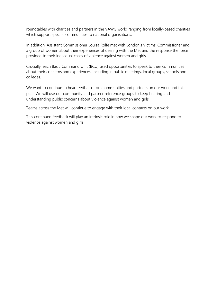roundtables with charities and partners in the VAWG world ranging from locally-based charities which support specific communities to national organisations.

In addition, Assistant Commissioner Louisa Rolfe met with London's Victims' Commissioner and a group of women about their experiences of dealing with the Met and the response the force provided to their individual cases of violence against women and girls.

Crucially, each Basic Command Unit (BCU) used opportunities to speak to their communities about their concerns and experiences, including in public meetings, local groups, schools and colleges.

We want to continue to hear feedback from communities and partners on our work and this plan. We will use our community and partner reference groups to keep hearing and understanding public concerns about violence against women and girls.

Teams across the Met will continue to engage with their local contacts on our work.

This continued feedback will play an intrinsic role in how we shape our work to respond to violence against women and girls.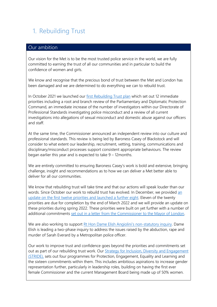# <span id="page-9-0"></span>1. Rebuilding Trust

#### Our ambition

Our vision for the Met is to be the most trusted police service in the world, we are fully committed to earning the trust of all our communities and in particular to build the confidence of women and girls.

We know and recognise that the precious bond of trust between the Met and London has been damaged and we are determined to do everything we can to rebuild trust.

In October 2021 we launched our [first Rebuilding Trust plan](https://www.met.police.uk/SysSiteAssets/media/downloads/met/about-us/rebuilding-trust--our-priorities.pdf) which set out 12 immediate priorities including a root and branch review of the Parliamentary and Diplomatic Protection Command, an immediate increase of the number of investigators within our Directorate of Professional Standards investigating police misconduct and a review of all current investigations into allegations of sexual misconduct and domestic abuse against our officers and staff.

At the same time, the Commissioner announced an independent review into our culture and professional standards. This review is being led by Baroness Casey of Blackstock and will consider to what extent our leadership, recruitment, vetting, training, communications and disciplinary/misconduct processes support consistent appropriate behaviours. The review began earlier this year and is expected to take 9 – 12months.

We are entirely committed to ensuring Baroness Casey's work is bold and extensive, bringing challenge, insight and recommendations as to how we can deliver a Met better able to deliver for all our communities.

We know that rebuilding trust will take time and that our actions will speak louder than our words. Since October our work to rebuild trust has evolved. In December, we provided [an](https://www.met.police.uk/SysSiteAssets/media/downloads/met/about-us/rebuilding-trust-update-on-progress.pdf)  update on the first twelve [priorities and launched a further eight.](https://www.met.police.uk/SysSiteAssets/media/downloads/met/about-us/rebuilding-trust-update-on-progress.pdf) Eleven of the twenty priorities are due for completion by the end of March 2022 and we will provide an update on these priorities during spring 2022. These priorities were built on yet further with a number of additional commitments [set out in a letter from the Commissioner to the Mayor of London.](https://www.met.police.uk/SysSiteAssets/media/downloads/met/about-us/letter-met-commissioner-mayor-of-london-feb-2022.pdf)

We are also working to support [Rt Hon Dame Elish Angiolini](https://www.angiolini.independent-inquiry.uk/)'s non-statutory inquiry. Dame Elish is leading a two-phase inquiry to address the issues raised by the abduction, rape and murder of Sarah Everard by a Metropolitan police officer.

Our work to improve trust and confidence goes beyond the priorities and commitments set out as part of our rebuilding trust work. Our [Strategy for Inclusion, Diversity and Engagement](https://www.met.police.uk/police-forces/metropolitan-police/areas/about-us/about-the-met/met-diversity-and-inclusion-strategy-stride/)  [\(STRIDE\),](https://www.met.police.uk/police-forces/metropolitan-police/areas/about-us/about-the-met/met-diversity-and-inclusion-strategy-stride/) sets out four programmes for Protection, Engagement, Equality and Learning and the sixteen commitments within them. This includes ambitious aspirations to increase gender representation further, particularly in leadership roles, building on having the first ever female Commissioner and the current Management Board being made up of 50% women.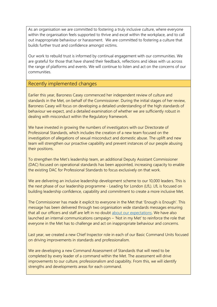As an organisation we are committed to fostering a truly inclusive culture, where everyone within the organisation feels supported to thrive and excel within the workplace, and to call out inappropriate behaviour or harassment. We are committed to fostering a culture that builds further trust and confidence amongst victims.

Our work to rebuild trust is informed by continual engagement with our communities. We are grateful for those that have shared their feedback, reflections and ideas with us across the range of platforms and events. We will continue to listen and act on the concerns of our communities.

#### Recently implemented changes

Earlier this year, Baroness Casey commenced her independent review of culture and standards in the Met, on behalf of the Commissioner. During the initial stages of her review, Baroness Casey will focus on developing a detailed understanding of the high standards of behaviour we expect, and a detailed examination of whether we are sufficiently robust in dealing with misconduct within the Regulatory framework.

We have invested in growing the numbers of investigators with our Directorate of Professional Standards, which includes the creation of a new team focused on the investigation of allegations of sexual misconduct and domestic abuse. The uplift and new team will strengthen our proactive capability and prevent instances of our people abusing their positions.

To strengthen the Met's leadership team, an additional Deputy Assistant Commissioner (DAC) focused on operational standards has been appointed, increasing capacity to enable the existing DAC for Professional Standards to focus exclusively on that work.

We are delivering an inclusive leadership development scheme to our 10,000 leaders. This is the next phase of our leadership programme - Leading for London (LfL). LfL is focused on building leadership confidence, capability and commitment to create a more inclusive Met.

The Commissioner has made it explicit to everyone in the Met that 'Enough is Enough'. This message has been delivered through two organisation wide standards messages ensuring that all our officers and staff are left in no doubt [about our expectations.](https://www.met.police.uk/SysSiteAssets/media/downloads/met/about-us/message-met-commissioner-officers-staff-feb-2022.pdf) We have also launched an internal communications campaign – 'Not in my Met' to reinforce the role that everyone in the Met has to challenge and act on inappropriate behaviour and concerns.

Last year, we created a new Chief Inspector role in each of our Basic Command Units focused on driving improvements in standards and professionalism*.*

We are developing a new Command Assessment of Standards that will need to be completed by every leader of a command within the Met. The assessment will drive improvements to our culture, professionalism and capability. From this, we will identify strengths and developments areas for each command.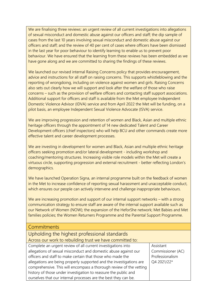We are finalising three reviews: an urgent review of all current investigations into allegations of sexual misconduct and domestic abuse against our officers and staff; the dip sample of cases from the last 10 years involving sexual misconduct and domestic abuse against our officers and staff; and the review of 40 per cent of cases where officers have been dismissed in the last year for poor behaviour to identify learning to enable us to prevent poor behaviour. We have ensured that the learning from these reviews has been embedded as we have gone along and we are committed to sharing the findings of these reviews.

We launched our revised internal Raising Concerns policy that provides encouragement, advice and instructions for all staff on raising concerns. This supports whistleblowing and the reporting of wrongdoing, including on violence against women and girls. Raising Concerns also sets out clearly how we will support and look after the welfare of those who raise concerns – such as the provision of welfare officers and contacting staff support associations. Additional support for officers and staff is available from the Met employee Independent Domestic Violence Advisor (IDVA) service and from April 2022 the Met will be funding, on a pilot basis, an employee Independent Sexual Violence Advocate (ISVA) service.

We are improving progression and retention of women and Black, Asian and multiple ethnic heritage officers through the appointment of 14 new dedicated Talent and Career Development officers (chief inspectors) who will help BCU and other commands create more effective talent and career development processes.

We are investing in development for women and Black, Asian and multiple ethnic heritage officers seeking promotion and/or lateral development - including workshop and coaching/mentoring structures. Increasing visible role models within the Met will create a virtuous circle, supporting progression and external recruitment - better reflecting London's demographics.

We have launched Operation Signa, an internal programme built on the feedback of women in the Met to increase confidence of reporting sexual harassment and unacceptable conduct, which ensures our people can actively intervene and challenge inappropriate behaviours.

We are increasing promotion and support of our internal support networks – with a strong communication strategy to ensure staff are aware of the internal support available such as our Network of Women (NOW); the expansion of the HeforShe network; Met Babies and Met families policies; the Women Returners Programme and the Parental Support Programme.

| <b>Commitments</b>                                                  |                   |
|---------------------------------------------------------------------|-------------------|
| Upholding the highest professional standards                        |                   |
| Across our work to rebuilding trust we have committed to:           |                   |
| Complete an urgent review of all current investigations into        | Assistant         |
| allegations of sexual misconduct and domestic abuse against our     | Commissioner (AC) |
| officers and staff to make certain that those who made the          | Professionalism   |
| allegations are being properly supported and the investigations are | Q4 2021/22*       |
| comprehensive. This will encompass a thorough review of the vetting |                   |
| history of those under investigation to reassure the public and     |                   |
| ourselves that our internal processes are the best they can be.     |                   |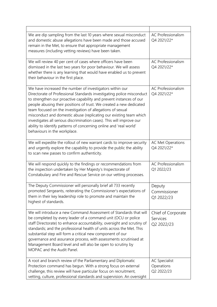| We are dip sampling from the last 10 years where sexual misconduct<br>and domestic abuse allegations have been made and those accused<br>remain in the Met, to ensure that appropriate management<br>measures (including vetting reviews) have been taken.                                                                                                                                                                                                                                                                                                                                         | <b>AC Professionalism</b><br>Q4 2021/22*         |
|----------------------------------------------------------------------------------------------------------------------------------------------------------------------------------------------------------------------------------------------------------------------------------------------------------------------------------------------------------------------------------------------------------------------------------------------------------------------------------------------------------------------------------------------------------------------------------------------------|--------------------------------------------------|
| We will review 40 per cent of cases where officers have been<br>dismissed in the last two years for poor behaviour. We will assess<br>whether there is any learning that would have enabled us to prevent<br>their behaviour in the first place.                                                                                                                                                                                                                                                                                                                                                   | <b>AC Professionalism</b><br>Q4 2021/22*         |
| We have increased the number of investigators within our<br>Directorate of Professional Standards investigating police misconduct<br>to strengthen our proactive capability and prevent instances of our<br>people abusing their positions of trust. We created a new dedicated<br>team focused on the investigation of allegations of sexual<br>misconduct and domestic abuse (replicating our existing team which<br>investigates all serious discrimination cases). This will improve our<br>ability to identify patterns of concerning online and 'real world'<br>behaviours in the workplace. | <b>AC Professionalism</b><br>Q4 2021/22*         |
| We will expedite the rollout of new warrant cards to improve security<br>and urgently explore the capability to provide the public the ability<br>to scan new passes to confirm authenticity.                                                                                                                                                                                                                                                                                                                                                                                                      | <b>AC Met Operations</b><br>Q4 2021/22*          |
| We will respond quickly to the findings or recommendations from<br>the inspection undertaken by Her Majesty's Inspectorate of<br>Constabulary and Fire and Rescue Service on our vetting processes.                                                                                                                                                                                                                                                                                                                                                                                                | <b>AC Professionalism</b><br>Q1 2022/23          |
| The Deputy Commissioner will personally brief all 733 recently<br>promoted Sergeants, reiterating the Commissioner's expectations of<br>them in their key leadership role to promote and maintain the<br>highest of standards.                                                                                                                                                                                                                                                                                                                                                                     | Deputy<br>Commissioner<br>Q1 2022/23             |
| We will introduce a new Command Assessment of Standards that will<br>be completed by every leader of a command unit (OCU or police<br>staff Directorate) to enhance accountability, oversight and scrutiny of<br>standards; and the professional health of units across the Met. This<br>substantial step will form a critical new component of our<br>governance and assurance process, with assessments scrutinised at<br>Management Board level and will also be open to scrutiny by<br>MOPAC and the Audit Panel.                                                                              | Chief of Corporate<br>Services<br>Q2 2022/23     |
| A root and branch review of the Parliamentary and Diplomatic<br>Protection command has begun. With a strong focus on external<br>challenge, this review will have particular focus on recruitment,<br>vetting, culture, professional standards and supervision. An oversight                                                                                                                                                                                                                                                                                                                       | <b>AC Specialist</b><br>Operations<br>Q2 2022/23 |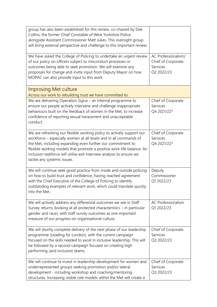| group has also been established for this review, co-chaired by Dee<br>Collins, the former Chief Constable of West Yorkshire Police,<br>alongside Assistant Commissioner Matt Jukes. This oversight group<br>will bring external perspective and challenge to this important review.                                                                                                        |                                                                     |
|--------------------------------------------------------------------------------------------------------------------------------------------------------------------------------------------------------------------------------------------------------------------------------------------------------------------------------------------------------------------------------------------|---------------------------------------------------------------------|
| We have asked the College of Policing to undertake an urgent review<br>of our policy on officers subject to misconduct processes or<br>outcomes being able to seek promotion. We will examine any<br>proposals for change and invite input from Deputy Mayor on how<br>MOPAC can also provide input to this work.                                                                          | AC Professionalism/<br>Chief of Corporate<br>Services<br>Q2 2022/23 |
| Improving Met culture<br>Across our work to rebuilding trust we have committed to:                                                                                                                                                                                                                                                                                                         |                                                                     |
| We are delivering Operation Signa - an internal programme to<br>ensure our people actively intervene and challenge inappropriate<br>behaviours built on the feedback of women in the Met, to increase<br>confidence of reporting sexual harassment and unacceptable<br>conduct.                                                                                                            | Chief of Corporate<br>Services<br>Q4 2021/22*                       |
| We are refreshing our flexible working policy to actively support our<br>workforce - especially women at all levels and in all commands of<br>the Met, including expanding even further our commitment to<br>flexible working models that promote a positive work-life balance. An<br>inclusion taskforce will utilise exit interview analysis to ensure we<br>tackle any systemic issues. | Chief of Corporate<br>Services<br>Q4 2021/22*                       |
| We will continue seek good practice from inside and outside policing<br>on how to build trust and confidence, having reached agreement<br>with the Chief Executive of the College of Policing to identify<br>outstanding examples of relevant work, which could translate quickly<br>into the Met.                                                                                         | Deputy<br>Commissioner<br>Q1 2022/23                                |
| We will actively address any differential outcomes we see in Staff<br>Survey returns (looking at all protected characteristics - in particular<br>gender and race), with staff survey outcomes as one important<br>measure of our progress on organisational culture.                                                                                                                      | <b>AC Professionalism</b><br>Q1 2022/23                             |
| We will shortly complete delivery of the next phase of our leadership<br>programme (Leading for London), with the current campaign<br>focused on the skills needed to excel in inclusive leadership. This will<br>be followed by a second campaign focused on creating high<br>performing (and inclusive) teams.                                                                           | Chief of Corporate<br>Services<br>Q3 2022/23                        |
| We will continue to invest in leadership development for women and<br>underrepresented groups seeking promotion and/or lateral<br>development - including workshop and coaching/mentoring<br>structures. Increasing visible role models within the Met will create a                                                                                                                       | Chief of Corporate<br>Services<br>Q3 2022/23                        |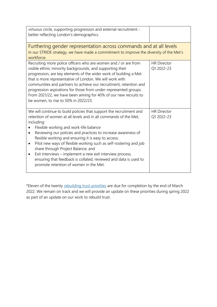| virtuous circle, supporting progression and external recruitment -<br>better reflecting London's demographics.                                                                                                                                                                                                                                                                                                                                                                                                                                                                                                                  |                                  |
|---------------------------------------------------------------------------------------------------------------------------------------------------------------------------------------------------------------------------------------------------------------------------------------------------------------------------------------------------------------------------------------------------------------------------------------------------------------------------------------------------------------------------------------------------------------------------------------------------------------------------------|----------------------------------|
| Furthering gender representation across commands and at all levels<br>In our STRIDE strategy, we have made a commitment to improve the diversity of the Met's<br>workforce.                                                                                                                                                                                                                                                                                                                                                                                                                                                     |                                  |
| Recruiting more police officers who are women and / or are from<br>visible ethnic minority backgrounds, and supporting their<br>progression, are key elements of the wider work of building a Met<br>that is more representative of London. We will work with<br>communities and partners to achieve our recruitment, retention and<br>progression aspirations for those from under-represented groups.<br>From 2021/22, we have been aiming for 40% of our new recruits to<br>be women, to rise to 50% in 2022/23.                                                                                                             | <b>HR Director</b><br>Q1 2022-23 |
| We will continue to build policies that support the recruitment and<br>retention of women at all levels and in all commands of the Met,<br>including:<br>Flexible working and work-life balance<br>Reviewing our policies and practices to increase awareness of<br>$\bullet$<br>flexible working and ensuring it is easy to access;<br>Pilot new ways of flexible working such as self-rostering and job<br>٠<br>share through Project Balance; and<br>Exit interviews – implement a new exit interview process,<br>ensuring that feedback is collated, reviewed and data is used to<br>promote retention of women in the Met. | <b>HR Director</b><br>Q1 2022-23 |

\*Eleven of the twenty [rebuilding trust priorities](https://www.met.police.uk/SysSiteAssets/media/downloads/met/about-us/rebuilding-trust-update-on-progress.pdf) are due for completion by the end of March 2022. We remain on track and we will provide an update on these priorities during spring 2022 as part of an update on our work to rebuild trust.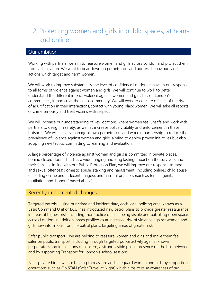## <span id="page-15-0"></span>2. Protecting women and girls in public spaces, at home and online

### Our ambition

Working with partners, we aim to reassure women and girls across London and protect them from victimisation. We want to bear down on perpetrators and address behaviours and actions which target and harm women.

We will work to improve substantially the level of confidence Londoners have in our response to all forms of violence against women and girls. We will continue to work to better understand the different impact violence against women and girls has on London's communities, in particular the black community. We will work to educate officers of the risks of adultification in their interactions/contact with young black women. We will take all reports of crime seriously and treat victims with respect.

We will increase our understanding of key locations where women feel unsafe and work with partners to design in safety, as well as increase police visibility and enforcement in these hotspots. We will actively manage known perpetrators and work in partnership to reduce the prevalence of violence against women and girls, aiming to deploy proven initiatives but also adopting new tactics, committing to learning and evaluation.

A large percentage of violence against women and girls is committed in private places, behind closed doors. This has a wide ranging and long lasting impact on the survivors and their families. In line with our Public Protection Plan, we will improve our response to rape and sexual offences; domestic abuse, stalking and harassment (including online); child abuse (including online and indecent images); and harmful practices (such as female genital mutilation and 'honour' based abuse).

#### Recently implemented changes

Targeted patrols - using our crime and incident data, each local policing area, known as a Basic Command Unit or BCU, has introduced new patrol plans to provide greater reassurance in areas of highest risk, including more police officers being visible and patrolling open space across London. In addition, areas profiled as at increased risk of violence against women and girls now inform our frontline patrol plans, targeting areas of greater risk.

Safer public transport - we are helping to reassure women and girls and make them feel safer on public transport, including through targeted police activity against known perpetrators and in locations of concern, a strong visible police presence on the bus network and by supporting Transport for London's school sessions.

Safer private hire – we are helping to reassure and safeguard women and girls by supporting operations such as Op STaN (Safer Travel at Night) which aims to raise awareness of taxi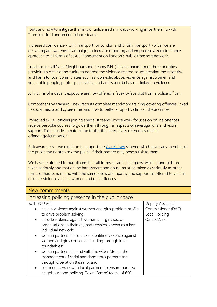touts and how to mitigate the risks of unlicensed minicabs working in partnership with Transport for London compliance teams.

Increased confidence - with Transport for London and British Transport Police, we are delivering an awareness campaign, to increase reporting and emphasise a zero tolerance approach to all forms of sexual harassment on London's public transport network.

Local focus - all Safer Neighbourhood Teams (SNT) have a minimum of three priorities, providing a great opportunity to address the violence related issues creating the most risk and harm to local communities such as: domestic abuse, violence against women and vulnerable people, public space safety, and anti-social behaviour linked to violence.

All victims of indecent exposure are now offered a face-to-face visit from a police officer.

Comprehensive training - new recruits complete mandatory training covering offences linked to social media and cybercrime, and how to better support victims of these crimes.

Improved skills - officers joining specialist teams whose work focuses on online offences receive bespoke courses to guide them through all aspects of investigations and victim support. This includes a hate crime toolkit that specifically references online offending/victimisation.

Risk awareness – we continue to support the [Clare's Law](https://www.met.police.uk/advice/advice-and-information/daa/domestic-abuse/alpha2/request-information-under-clares-law/) scheme which gives any member of the public the right to ask the police if their partner may pose a risk to them.

We have reinforced to our officers that all forms of violence against women and girls are taken seriously and that online harassment and abuse must be taken as seriously as other forms of harassment and with the same levels of empathy and support as offered to victims of other violence against women and girls offences.

| New commitments                                                                                                                                                                                                                                                                                                                                                                                                                                                                                                                                                                                                                                                                             |                                                                        |
|---------------------------------------------------------------------------------------------------------------------------------------------------------------------------------------------------------------------------------------------------------------------------------------------------------------------------------------------------------------------------------------------------------------------------------------------------------------------------------------------------------------------------------------------------------------------------------------------------------------------------------------------------------------------------------------------|------------------------------------------------------------------------|
| Increasing policing presence in the public space                                                                                                                                                                                                                                                                                                                                                                                                                                                                                                                                                                                                                                            |                                                                        |
| Each BCU will:<br>have a violence against women and girls problem profile<br>to drive problem solving;<br>include violence against women and girls sector<br>$\bullet$<br>organisations in their key partnerships, known as a key<br>individual network;<br>work in partnership to tackle identified violence against<br>$\bullet$<br>women and girls concerns including through local<br>roundtables;<br>work in partnership, and with the wider Met, in the<br>$\bullet$<br>management of serial and dangerous perpetrators<br>through Operation Bassano; and<br>continue to work with local partners to ensure our new<br>$\bullet$<br>neighbourhood policing 'Town Centre' teams of 650 | Deputy Assistant<br>Commissioner (DAC)<br>Local Policing<br>Q2 2022/23 |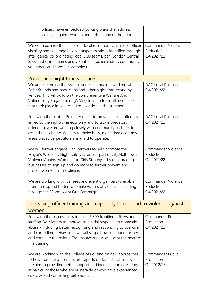| officers, have embedded policing plans that address<br>violence against women and girls as one of the priorities.                                                                                                                                                                                                                                                 |                                               |
|-------------------------------------------------------------------------------------------------------------------------------------------------------------------------------------------------------------------------------------------------------------------------------------------------------------------------------------------------------------------|-----------------------------------------------|
| We will maximise the use of our local resources to increase officer<br>visibility and coverage in key hotspot locations identified through<br>intelligence, co-ordinating local BCU teams, pan-London Central<br>Specialist Crime teams and volunteers (police cadets, community<br>volunteers and special constables).                                           | Commander Violence<br>Reduction<br>Q4 2021/22 |
| Preventing night time violence                                                                                                                                                                                                                                                                                                                                    |                                               |
| We are expanding the Ask for Angela campaign, working with<br>Safer Sounds and bars, clubs and other night time-economy<br>venues. This will build on the comprehensive Welfare And<br>Vulnerability Engagement (WAVE) training to frontline officers<br>that took place in venues across London in the summer.                                                   | DAC Local Policing<br>Q4 2021/22              |
| Following the pilot of Project Vigilant to prevent sexual offences<br>linked to the night-time economy and to tackle predatory<br>offending, we are working closely with community partners to<br>extend the scheme. We aim to make busy, night-time economy<br>areas places perpetrators are afraid to operate.                                                  | DAC Local Policing<br>Q4 2021/22              |
| We will further engage with partners to help promote the<br>Mayor's Women's Night Safety Charter - part of City Hall's own<br>Violence Against Women and Girls Strategy - by encouraging<br>businesses to sign-up and do more to further prevent and<br>protect women from violence.                                                                              | Commander Violence<br>Reduction<br>Q4 2021/22 |
| We are working with licensees and event organisers to enable<br>them to respond better to female victims of violence, including<br>through the 'Good Night Out Campaign'.                                                                                                                                                                                         | Commander Violence<br>Reduction<br>Q4 2021/22 |
| Increasing officer training and capability to respond to violence against<br>women                                                                                                                                                                                                                                                                                |                                               |
| Following the successful training of 6,800 frontline officers and<br>staff on DA Matters to improve our initial response to domestic<br>abuse - including better recognising and responding to coercive<br>and controlling behaviour - we will scope how to embed further<br>and continue the rollout. Trauma awareness will be at the heart of<br>this training. | Commander Public<br>Protection<br>Q4 2021/22  |
| We are working with the College of Policing on new approaches<br>to how frontline officers record reports of domestic abuse, with<br>the aim to providing better support and identification of victims<br>in particular those who are vulnerable or who have experienced<br>coercive and controlling behaviour.                                                   | Commander Public<br>Protection<br>Q4 2022/23  |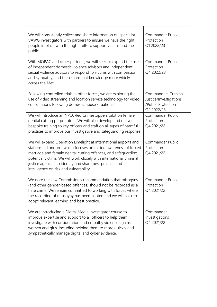| We will consistently collect and share information on specialist<br>VAWG investigators with partners to ensure we have the right<br>people in place with the right skills to support victims and the<br>public.                                                                                                                                                                       | Commander Public<br>Protection<br>Q1 2022/23                                             |
|---------------------------------------------------------------------------------------------------------------------------------------------------------------------------------------------------------------------------------------------------------------------------------------------------------------------------------------------------------------------------------------|------------------------------------------------------------------------------------------|
| With MOPAC and other partners, we will seek to expand the use<br>of independent domestic violence advisors and independent<br>sexual violence advisors to respond to victims with compassion<br>and sympathy, and then share that knowledge more widely<br>across the Met.                                                                                                            | Commander Public<br>Protection<br>Q4 2022/23                                             |
| Following controlled trials in other forces, we are exploring the<br>use of video streaming and location service technology for video<br>consultations following domestic abuse situations.                                                                                                                                                                                           | <b>Commanders Criminal</b><br>Justice/Investigations<br>/Public Protection<br>Q2 2022/23 |
| We will introduce an NPCC-led Crimestoppers pilot on female<br>genital cutting perpetrators. We will also develop and deliver<br>bespoke training to key officers and staff on all types of harmful<br>practices to improve our investigative and safeguarding response.                                                                                                              | Commander Public<br>Protection<br>Q4 2021/22                                             |
| We will expand Operation Limelight at international airports and<br>stations in London - which focuses on raising awareness of forced<br>marriage and female genital cutting offences, and safeguarding<br>potential victims. We will work closely with international criminal<br>justice agencies to identify and share best practice and<br>intelligence on risk and vulnerability. | Commander Public<br>Protection<br>Q4 2021/22                                             |
| We note the Law Commission's recommendation that misogyny<br>(and other gender-based offences) should not be recorded as a<br>hate crime. We remain committed to working with forces where<br>the recording of misogyny has been piloted and we will seek to<br>adopt relevant learning and best practice.                                                                            | Commander Public<br>Protection<br>Q4 2021/22                                             |
| We are introducing a Digital Media Investigator course to<br>improve expertise and support to all officers to help them<br>investigate with consideration and empathy violence against<br>women and girls, including helping them to more quickly and<br>sympathetically manage digital and cyber evidence.                                                                           | Commander<br>Investigations<br>Q4 2021/22                                                |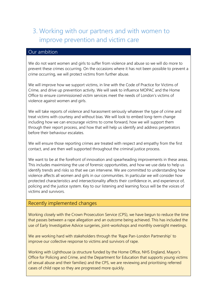# <span id="page-19-0"></span>3. Working with our partners and with women to improve prevention and victim care

#### Our ambition

We do not want women and girls to suffer from violence and abuse so we will do more to prevent these crimes occurring. On the occasions where it has not been possible to prevent a crime occurring, we will protect victims from further abuse.

We will improve how we support victims, in line with the Code of Practice for Victims of Crime, and drive up prevention activity. We will seek to influence MOPAC and the Home Office to ensure commissioned victim services meet the needs of London's victims of violence against women and girls.

We will take reports of violence and harassment seriously whatever the type of crime and treat victims with courtesy and without bias. We will look to embed long-term change including how we can encourage victims to come forward, how we will support them through their report process, and how that will help us identify and address perpetrators before their behaviour escalates.

We will ensure those reporting crimes are treated with respect and empathy from the first contact, and are then well supported throughout the criminal justice process.

We want to be at the forefront of innovation and spearheading improvements in these areas. This includes maximising the use of forensic opportunities, and how we use data to help us identify trends and risks so that we can intervene. We are committed to understanding how violence affects all women and girls in our communities. In particular we will consider how protected characteristics and intersectionality affects their confidence in, and experience of, policing and the justice system. Key to our listening and learning focus will be the voices of victims and survivors.

#### Recently implemented changes

Working closely with the Crown Prosecution Service (CPS), we have begun to reduce the time that passes between a rape allegation and an outcome being achieved. This has included the use of Early Investigative Advice surgeries, joint-workshops and monthly oversight meetings.

We are working hard with stakeholders through the 'Rape Pan-London Partnership' to improve our collective response to victims and survivors of rape.

Working with Lighthouse (a structure funded by the Home Office, NHS England, Mayor's Office for Policing and Crime, and the Department for Education that supports young victims of sexual abuse and their families) and the CPS, we are reviewing and prioritising referred cases of child rape so they are progressed more quickly.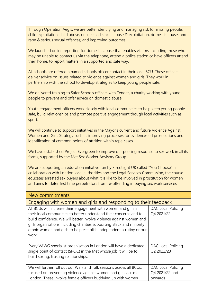Through Operation Aegis, we are better identifying and managing risk for missing people, child exploitation, child abuse, online child sexual abuse & exploitation, domestic abuse, and rape & serious sexual offences; and improving outcomes.

We launched online reporting for domestic abuse that enables victims, including those who may be unable to contact us via the telephone, attend a police station or have officers attend their home, to report matters in a supported and safe way.

All schools are offered a named schools officer contact in their local BCU. These officers deliver advice on issues related to violence against women and girls. They work in partnership with the school to develop strategies to keep young people safe.

We delivered training to Safer Schools officers with Tender, a charity working with young people to prevent and offer advice on domestic abuse.

Youth engagement officers work closely with local communities to help keep young people safe, build relationships and promote positive engagement though local activities such as sport.

We will continue to support initiatives in the Mayor's current and future Violence Against Women and Girls Strategy such as improving processes for evidence-led prosecutions and identification of common points of attrition within rape cases.

We have established Project Evergreen to improve our policing response to sex work in all its forms, supported by the Met Sex Worker Advisory Group.

We are supporting an education initiative run by Streetlight UK called ''You Choose". In collaboration with London local authorities and the Legal Services Commission, the course educates arrested sex buyers about what it is like to be involved in prostitution for women and aims to deter first time perpetrators from re-offending in buying sex work services.

| New commitments                                                                                                                                                                                                                                                                                                                                                        |                                                 |
|------------------------------------------------------------------------------------------------------------------------------------------------------------------------------------------------------------------------------------------------------------------------------------------------------------------------------------------------------------------------|-------------------------------------------------|
| Engaging with women and girls and responding to their feedback                                                                                                                                                                                                                                                                                                         |                                                 |
| All BCUs will increase their engagement with women and girls in<br>their local communities to better understand their concerns and to<br>build confidence. We will better involve violence against women and<br>girls organisations including charities supporting Black and minority<br>ethnic women and girls to help establish independent scrutiny or our<br>work. | DAC Local Policing<br>Q4 2021/22                |
| Every VAWG specialist organisation in London will have a dedicated<br>single point of contact (SPOC) in the Met whose job it will be to<br>build strong, trusting relationships.                                                                                                                                                                                       | DAC Local Policing<br>Q2 2022/23                |
| We will further roll out our Walk and Talk sessions across all BCUs,<br>focused on preventing violence against women and girls across<br>London. These involve female officers buddying up with women                                                                                                                                                                  | DAC Local Policing<br>Q4 2021/22 and<br>onwards |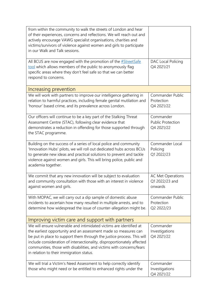| from within the community to walk the streets of London and hear<br>of their experiences, concerns and reflections. We will reach out and<br>actively encourage VAWG specialist organisations, charities and<br>victims/survivors of violence against women and girls to participate<br>in our Walk and Talk sessions.                                                                                           |                                                       |
|------------------------------------------------------------------------------------------------------------------------------------------------------------------------------------------------------------------------------------------------------------------------------------------------------------------------------------------------------------------------------------------------------------------|-------------------------------------------------------|
| All BCUS are now engaged with the promotion of the #StreetSafe<br>tool which allows members of the public to anonymously flag<br>specific areas where they don't feel safe so that we can better<br>respond to concerns.                                                                                                                                                                                         | DAC Local Policing<br>Q4 2021/21                      |
| Increasing prevention                                                                                                                                                                                                                                                                                                                                                                                            |                                                       |
| We will work with partners to improve our intelligence gathering in<br>relation to harmful practices, including female genital mutilation and<br>'honour' based crime, and its prevalence across London.                                                                                                                                                                                                         | Commander Public<br>Protection<br>Q4 2021/22          |
| Our officers will continue to be a key part of the Stalking Threat<br>Assessment Centre (STAC), following clear evidence that<br>demonstrates a reduction in offending for those supported through<br>the STAC programme.                                                                                                                                                                                        | Commander<br><b>Public Protection</b><br>Q4 2021/22   |
| Building on the success of a series of local police and community<br>'Innovation Hubs' pilots, we will roll out dedicated hubs across BCUs<br>to generate new ideas and practical solutions to prevent and tackle<br>violence against women and girls. This will bring police, public and<br>academia together.                                                                                                  | Commander Local<br>Policing<br>Q1 2022/23             |
| We commit that any new innovation will be subject to evaluation<br>and community consultation with those with an interest in violence<br>against women and girls.                                                                                                                                                                                                                                                | <b>AC Met Operations</b><br>Q1 2022/23 and<br>onwards |
| With MOPAC, we will carry out a dip sample of domestic abuse<br>incidents to ascertain how many resulted in multiple arrests, and to<br>determine how widespread the issue of counter-allegation might be.                                                                                                                                                                                                       | Commander Public<br>Protection<br>Q2 2022/23          |
| Improving victim care and support with partners                                                                                                                                                                                                                                                                                                                                                                  |                                                       |
| We will ensure vulnerable and intimidated victims are identified at<br>the earliest opportunity and an assessment made so measures can<br>be put in place to support them through the justice process. This will<br>include consideration of intersectionality, disproportionately affected<br>communities, those with disabilities, and victims with concerns/fears<br>in relation to their immigration status. | Commander<br>Investigations<br>Q4 2021/22             |
| We will trial a Victim's Need Assessment to help correctly identify<br>those who might need or be entitled to enhanced rights under the                                                                                                                                                                                                                                                                          | Commander<br>Investigations<br>Q4 2021/22             |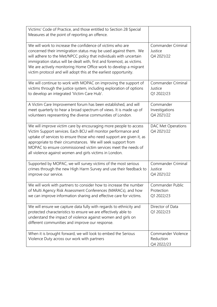| Victims' Code of Practice, and those entitled to Section 28 Special<br>Measures at the point of reporting an offence.                                                                                                                                                                                                                                                                                                 |                                               |
|-----------------------------------------------------------------------------------------------------------------------------------------------------------------------------------------------------------------------------------------------------------------------------------------------------------------------------------------------------------------------------------------------------------------------|-----------------------------------------------|
| We will work to increase the confidence of victims who are<br>concerned their immigration status may be used against them. We<br>will adhere to the Met/NPCC policy that individuals with uncertain<br>immigration status will be dealt with, first and foremost, as victims.<br>We are actively monitoring Home Office work to develop a migrant<br>victim protocol and will adopt this at the earliest opportunity. | Commander Criminal<br>Justice<br>Q4 2021/22   |
| We will continue to work with MOPAC on improving the support of<br>victims through the justice system, including exploration of options<br>to develop an integrated 'Victim Care Hub'.                                                                                                                                                                                                                                | Commander Criminal<br>Justice<br>Q1 2022/23   |
| A Victim Care Improvement forum has been established, and will<br>meet quarterly to hear a broad spectrum of views. It is made up of<br>volunteers representing the diverse communities of London.                                                                                                                                                                                                                    | Commander<br>Investigations<br>Q4 2021/22     |
| We will improve victim care by encouraging more people to access<br>Victim Support services. Each BCU will monitor performance and<br>uptake of services to ensure those who need support are given it, as<br>appropriate to their circumstances. We will seek support from<br>MOPAC to ensure commissioned victim services meet the needs of<br>all violence against women and girls victims in London.              | DAC Met Operations<br>Q4 2021/22              |
| Supported by MOPAC, we will survey victims of the most serious<br>crimes through the new High Harm Survey and use their feedback to<br>improve our service.                                                                                                                                                                                                                                                           | Commander Criminal<br>Justice<br>Q4 2021/22   |
| We will work with partners to consider how to increase the number<br>of Multi Agency Risk Assessment Conferences (MARACs), and how<br>we can improve information sharing and effective care for victims.                                                                                                                                                                                                              | Commander Public<br>Protection<br>Q1 2022/23  |
| We will ensure we capture data fully with regards to ethnicity and<br>protected characteristics to ensure we are effectively able to<br>understand the impact of violence against women and girls on<br>different communities and improve our response.                                                                                                                                                               | Director of Data<br>Q1 2022/23                |
| When it is brought forward, we will look to embed the Serious<br>Violence Duty across our work with partners                                                                                                                                                                                                                                                                                                          | Commander Violence<br>Reduction<br>Q4 2022/23 |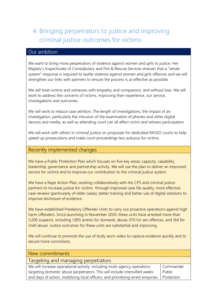# <span id="page-23-0"></span>4. Bringing perpetrators to justice and improving criminal justice outcomes for victims

### Our ambition

We want to bring more perpetrators of violence against women and girls to justice. Her Majesty's Inspectorate of Constabulary and Fire & Rescue Services stresses that a "whole system" response is required to tackle violence against women and girls offences and we will strengthen our links with partners to ensure the process is as effective as possible.

We will treat victims and witnesses with empathy and compassion, and without bias. We will work to address the concerns of victims, improving their experience, our service, investigations and outcomes.

We will work to reduce case attrition. The length of investigations, the impact of an investigation, particularly the intrusion of the examination of phones and other digital devices and media, as well as attending court can all affect victim and witness participation.

We will work with others in criminal justice on proposals for dedicated RASSO courts to help speed up prosecutions and make court proceedings less arduous for victims.

#### Recently implemented changes

We have a Public Protection Plan which focuses on five key areas; capacity, capability, leadership, governance and partnership activity. We will use the plan to deliver an improved service for victims and to improve our contribution to the criminal justice system.

We have a Rape Action Plan, working collaboratively with the CPS and criminal justice partners to increase justice for victims through improved case file quality, more effective case reviews (particularly of older cases), better training and better use of digital solutions to improve disclosure of evidence.

We have established Predatory Offender Units to carry out proactive operations against high harm offenders. Since launching in November 2020, these units have arrested more than 3,200 suspects, including 1,893 arrests for domestic abuse, 670 for sex offences, and 164 for child abuse. Justice outcomes for these units are substantial and improving.

We will continue to promote the use of body worn video to capture evidence quickly and to secure more convictions.

| New commitments                                                                   |            |
|-----------------------------------------------------------------------------------|------------|
| Targeting and managing perpetrators                                               |            |
| We will increase operational activity, including multi-agency operations          | Commander  |
| targeting domestic abuse perpetrators. This will include intensified weeks        | Public     |
| and days of action, mobilising local officers, and prioritising arrest enquiries. | Protection |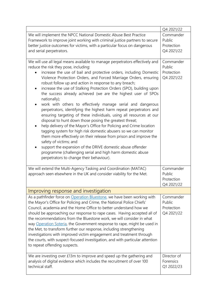|                                                                                                                                                                                                                                                                                                                                                                                                                                                                                                                                                                                                                                                                                                                                                                                                                                                                                                                                                                                                                                                                                                                                                                                 | Q4 2021/22                                      |
|---------------------------------------------------------------------------------------------------------------------------------------------------------------------------------------------------------------------------------------------------------------------------------------------------------------------------------------------------------------------------------------------------------------------------------------------------------------------------------------------------------------------------------------------------------------------------------------------------------------------------------------------------------------------------------------------------------------------------------------------------------------------------------------------------------------------------------------------------------------------------------------------------------------------------------------------------------------------------------------------------------------------------------------------------------------------------------------------------------------------------------------------------------------------------------|-------------------------------------------------|
| We will implement the NPCC National Domestic Abuse Best Practice<br>Framework to improve joint working with criminal justice partners to secure<br>better justice outcomes for victims, with a particular focus on dangerous<br>and serial perpetrators.                                                                                                                                                                                                                                                                                                                                                                                                                                                                                                                                                                                                                                                                                                                                                                                                                                                                                                                        | Commander<br>Public<br>Protection<br>Q4 2021/22 |
| We will use all legal means available to manage perpetrators effectively and<br>reduce the risk they pose, including:<br>increase the use of bail and protective orders, including Domestic<br>Violence Protection Orders, and Forced Marriage Orders, ensuring<br>robust follow up and action in response to any breach;<br>increase the use of Stalking Protection Orders (SPO), building upon<br>٠<br>the success already achieved (we are the highest user of SPOs<br>nationally);<br>work with others to effectively manage serial and dangerous<br>perpetrators, identifying the highest harm repeat perpetrators and<br>ensuring targeting of these individuals, using all resources at our<br>disposal to hunt down those posing the greatest threat;<br>help delivery of the Mayor's Office for Policing and Crime location<br>tagging system for high risk domestic abusers so we can monitor<br>them more effectively on their release from prison and improve the<br>safety of victims; and<br>support the expansion of the DRIVE domestic abuse offender<br>programme (challenging serial and high harm domestic abuse<br>perpetrators to change their behaviour). | Commander<br>Public<br>Protection<br>Q4 2021/22 |
| We will extend the Multi-Agency Tasking and Coordination (MATAC)<br>approach seen elsewhere in the UK and consider viability for the Met.                                                                                                                                                                                                                                                                                                                                                                                                                                                                                                                                                                                                                                                                                                                                                                                                                                                                                                                                                                                                                                       | Commander<br>Public<br>Protection<br>Q4 2021/22 |
| Improving response and investigation                                                                                                                                                                                                                                                                                                                                                                                                                                                                                                                                                                                                                                                                                                                                                                                                                                                                                                                                                                                                                                                                                                                                            |                                                 |
| As a pathfinder force on Operation Bluestone, we have been working with<br>the Mayor's Office for Policing and Crime, the National Police Chiefs'<br>Council, academia and the Home Office to better understand how we<br>should be approaching our response to rape cases. Having accepted all of<br>the recommendations from the Bluestone work, we will consider in what<br>way Operation Soteria, the Government response to rape, might be used in<br>the Met, to transform further our response, including strengthening<br>investigations with improved victim engagement and treatment through<br>the courts, with suspect-focused investigation, and with particular attention<br>to repeat offending suspects.                                                                                                                                                                                                                                                                                                                                                                                                                                                        | Commander<br>Public<br>Protection<br>Q4 2021/22 |
| We are investing over £13m to improve and speed up the gathering and<br>analysis of digital evidence which includes the recruitment of over 100<br>technical staff.                                                                                                                                                                                                                                                                                                                                                                                                                                                                                                                                                                                                                                                                                                                                                                                                                                                                                                                                                                                                             | Director of<br>Forensics<br>Q1 2022/23          |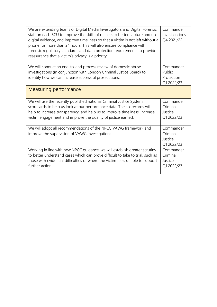| We are extending teams of Digital Media Investigators and Digital Forensic<br>staff on each BCU to improve the skills of officers to better capture and use<br>digital evidence, and improve timeliness so that a victim is not left without a<br>phone for more than 24 hours. This will also ensure compliance with<br>forensic regulatory standards and data protection requirements to provide<br>reassurance that a victim's privacy is a priority. | Commander<br>Investigations<br>Q4 2021/22       |
|----------------------------------------------------------------------------------------------------------------------------------------------------------------------------------------------------------------------------------------------------------------------------------------------------------------------------------------------------------------------------------------------------------------------------------------------------------|-------------------------------------------------|
| We will conduct an end-to-end process review of domestic abuse<br>investigations (in conjunction with London Criminal Justice Board) to<br>identify how we can increase successful prosecutions.                                                                                                                                                                                                                                                         | Commander<br>Public<br>Protection<br>Q1 2022/23 |
| Measuring performance                                                                                                                                                                                                                                                                                                                                                                                                                                    |                                                 |
| We will use the recently published national Criminal Justice System<br>scorecards to help us look at our performance data. The scorecards will<br>help to increase transparency, and help us to improve timeliness, increase<br>victim engagement and improve the quality of justice earned.                                                                                                                                                             | Commander<br>Criminal<br>Justice<br>Q1 2022/23  |
| We will adopt all recommendations of the NPCC VAWG framework and<br>improve the supervision of VAWG investigations.                                                                                                                                                                                                                                                                                                                                      | Commander<br>Criminal<br>Justice<br>Q1 2022/23  |
| Working in line with new NPCC guidance, we will establish greater scrutiny<br>to better understand cases which can prove difficult to take to trial, such as<br>those with evidential difficulties or where the victim feels unable to support<br>further action.                                                                                                                                                                                        | Commander<br>Criminal<br>Justice<br>Q1 2022/23  |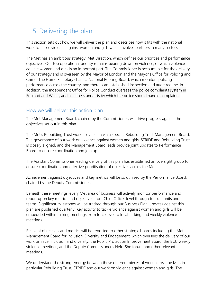### <span id="page-26-0"></span>5. Delivering the plan

This section sets out how we will deliver the plan and describes how it fits with the national work to tackle violence against women and girls which involves partners in many sectors.

The Met has an ambitious strategy, Met Direction, which defines our priorities and performance objectives. Our top operational priority remains bearing down on violence, of which violence against women and girls is an important part. The Commissioner is accountable for the delivery of our strategy and is overseen by the Mayor of London and the Mayor's Office for Policing and Crime. The Home Secretary chairs a National Policing Board, which monitors policing performance across the country, and there is an established inspection and audit regime. In addition, the Independent Office for Police Conduct oversees the police complaints system in England and Wales, and sets the standards by which the police should handle complaints.

#### <span id="page-26-1"></span>How we will deliver this action plan

The Met Management Board, chaired by the Commissioner, will drive progress against the objectives set out in this plan.

The Met's Rebuilding Trust work is overseen via a specific Rebuilding Trust Management Board. The governance of our work on violence against women and girls, STRIDE and Rebuilding Trust is closely aligned, and the Management Board leads provide joint updates to Performance Board to ensure coordination and join up.

The Assistant Commissioner leading delivery of this plan has established an oversight group to ensure coordination and effective prioritisation of objectives across the Met.

Achievement against objectives and key metrics will be scrutinised by the Performance Board, chaired by the Deputy Commissioner.

Beneath these meetings, every Met area of business will actively monitor performance and report upon key metrics and objectives from Chief Officer level through to local units and teams. Significant milestones will be tracked through our Business Plan; updates against this plan are published quarterly. Key activity to tackle violence against women and girls will be embedded within tasking meetings from force level to local tasking and weekly violence meetings.

Relevant objectives and metrics will be reported to other strategic boards including the Met Management Board for Inclusion, Diversity and Engagement, which oversees the delivery of our work on race, inclusion and diversity, the Public Protection Improvement Board, the BCU weekly violence meetings, and the Deputy Commissioner's HeforShe forum and other relevant meetings.

We understand the strong synergy between these different pieces of work across the Met, in particular Rebuilding Trust, STRIDE and our work on violence against women and girls. The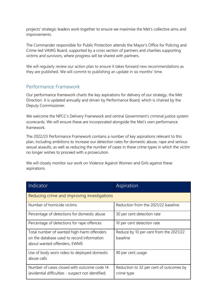projects' strategic leaders work together to ensure we maximise the Met's collective aims and improvements.

The Commander responsible for Public Protection attends the Mayor's Office for Policing and Crime-led VAWG Board, supported by a cross section of partners and charities supporting victims and survivors, where progress will be shared with partners.

We will regularly review our action plan to ensure it takes forward new recommendations as they are published. We will commit to publishing an update in six months' time.

#### <span id="page-27-0"></span>Performance Framework

Our performance framework charts the key aspirations for delivery of our strategy, the Met Direction. It is updated annually and driven by Performance Board, which is chaired by the Deputy Commissioner.

We welcome the NPCC's Delivery Framework and central Government's criminal justice system scorecards. We will ensure these are incorporated alongside the Met's own performance framework.

The 2022/23 Performance Framework contains a number of key aspirations relevant to this plan, including ambitions to increase our detection rates for domestic abuse, rape and serious sexual assaults, as well as reducing the number of cases in these crime types in which the victim no longer wishes to proceed with a prosecution.

We will closely monitor our work on Violence Against Women and Girls against these aspirations.

| Indicator                                                                                                                | Aspiration                                            |  |
|--------------------------------------------------------------------------------------------------------------------------|-------------------------------------------------------|--|
| Reducing crime and improving investigations                                                                              |                                                       |  |
| Number of homicide victims                                                                                               | Reduction from the 2021/22 baseline                   |  |
| Percentage of detections for domestic abuse                                                                              | 30 per cent detection rate                            |  |
| Percentage of detections for rape offences                                                                               | 10 per cent detection rate                            |  |
| Total number of wanted high-harm offenders<br>on the database used to record information<br>about wanted offenders, EWMS | Reduce by 10 per cent from the 2021/22<br>baseline    |  |
| Use of body worn video to deployed domestic<br>abuse calls                                                               | 90 per cent usage                                     |  |
| Number of cases closed with outcome code 14<br>(evidential difficulties - suspect not identified;                        | Reduction to 32 per cent of outcomes by<br>crime type |  |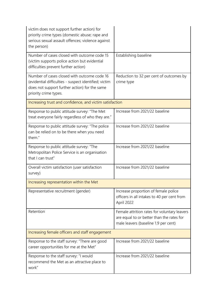| victim does not support further action) for<br>priority crime types (domestic abuse; rape and<br>serious sexual assault offences; violence against<br>the person)              |                                                                                                                                   |  |
|--------------------------------------------------------------------------------------------------------------------------------------------------------------------------------|-----------------------------------------------------------------------------------------------------------------------------------|--|
| Number of cases closed with outcome code 15<br>(victim supports police action but evidential<br>difficulties prevent further action)                                           | Establishing baseline                                                                                                             |  |
| Number of cases closed with outcome code 16<br>(evidential difficulties - suspect identified; victim<br>does not support further action) for the same<br>priority crime types. | Reduction to 32 per cent of outcomes by<br>crime type                                                                             |  |
| Increasing trust and confidence, and victim satisfaction                                                                                                                       |                                                                                                                                   |  |
| Response to public attitude survey: "The Met<br>treat everyone fairly regardless of who they are."                                                                             | Increase from 2021/22 baseline                                                                                                    |  |
| Response to public attitude survey: "The police<br>can be relied on to be there when you need<br>them."                                                                        | Increase from 2021/22 baseline                                                                                                    |  |
| Response to public attitude survey: "The<br>Metropolitan Police Service is an organisation<br>that I can trust"                                                                | Increase from 2021/22 baseline                                                                                                    |  |
| Overall victim satisfaction (user satisfaction<br>survey)                                                                                                                      | Increase from 2021/22 baseline                                                                                                    |  |
| Increasing representation within the Met                                                                                                                                       |                                                                                                                                   |  |
| Representative recruitment (gender)                                                                                                                                            | Increase proportion of female police<br>officers in all intakes to 40 per cent from<br>April 2022                                 |  |
| Retention                                                                                                                                                                      | Female attrition rates for voluntary leavers<br>are equal to or better than the rates for<br>male leavers (baseline 1.9 per cent) |  |
| Increasing female officers and staff engagement                                                                                                                                |                                                                                                                                   |  |
| Response to the staff survey: "There are good<br>career opportunities for me at the Met"                                                                                       | Increase from 2021/22 baseline                                                                                                    |  |
| Response to the staff survey: "I would<br>recommend the Met as an attractive place to<br>work"                                                                                 | Increase from 2021/22 baseline                                                                                                    |  |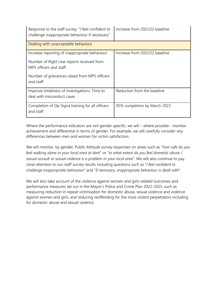| Response to the staff survey: "I feel confident to<br>challenge inappropriate behaviour if necessary" | Increase from 2021/22 baseline |
|-------------------------------------------------------------------------------------------------------|--------------------------------|
| Dealing with unacceptable behaviour                                                                   |                                |
| Increase reporting of inappropriate behaviour:                                                        | Increase from 2021/22 baseline |
| Number of Right Line reports received from<br>MPS officers and staff                                  |                                |
| Number of grievances raised from MPS officers<br>and staff                                            |                                |
| Improve timeliness of investigations: Time to<br>deal with misconduct cases                           | Reduction from the baseline    |
| Completion of Op Signa training for all officers<br>and staff                                         | 95% completion by March 2023   |

Where the performance indicators are not gender specific, we will – where possible - monitor achievement and differential in terms of gender. For example, we will carefully consider any differences between men and women for victim satisfaction.

We will monitor, by gender, Public Attitude survey responses on areas such as "*how safe do you feel walking alone in your local area at dark*" or "*to what extent do you feel domestic abuse / sexual assault or sexual violence is a problem in your local area*". We will also continue to pay close attention to our staff survey results including questions such as "*I feel confident to challenge inappropriate behaviour"* and "*If necessary, inappropriate behaviour is dealt with*".

We will also take account of the violence against women and girls-related outcomes and performance measures set out in the Mayor's Police and Crime Plan 2022-2025, such as measuring reduction in repeat victimisation for domestic abuse, sexual violence and violence against women and girls, and reducing reoffending for the most violent perpetrators including for domestic abuse and sexual violence.